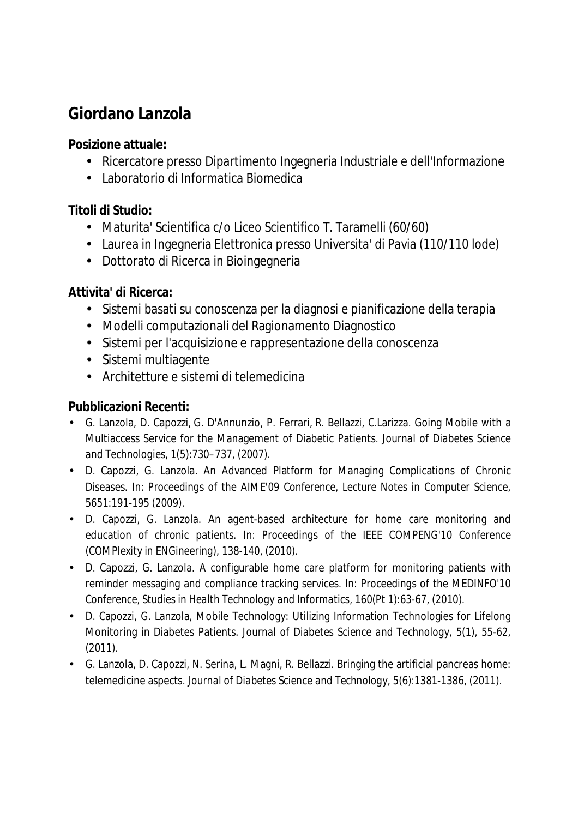## **Giordano Lanzola**

**Posizione attuale:** 

- Ricercatore presso Dipartimento Ingegneria Industriale e dell'Informazione
- Laboratorio di Informatica Biomedica

**Titoli di Studio:** 

- Maturita' Scientifica c/o Liceo Scientifico T. Taramelli (60/60)
- Laurea in Ingegneria Elettronica presso Universita' di Pavia (110/110 lode)
- Dottorato di Ricerca in Bioingegneria

**Attivita' di Ricerca:** 

- Sistemi basati su conoscenza per la diagnosi e pianificazione della terapia
- Modelli computazionali del Ragionamento Diagnostico
- Sistemi per l'acquisizione e rappresentazione della conoscenza
- Sistemi multiagente
- Architetture e sistemi di telemedicina

**Pubblicazioni Recenti:** 

- G. Lanzola, D. Capozzi, G. D'Annunzio, P. Ferrari, R. Bellazzi, C.Larizza. Going Mobile with a Multiaccess Service for the Management of Diabetic Patients. *Journal of Diabetes Science and Technologies*, 1(5):730–737, (2007).
- D. Capozzi, G. Lanzola. An Advanced Platform for Managing Complications of Chronic Diseases. In*: Proceedings of the AIME'09 Conference, Lecture Notes in Computer Science,*  5651:191-195 (2009).
- D. Capozzi, G. Lanzola. An agent-based architecture for home care monitoring and education of chronic patients. In: *Proceedings of the IEEE COMPENG'10 Conference (COMPlexity in ENGineering)*, 138-140, (2010).
- D. Capozzi, G. Lanzola. A configurable home care platform for monitoring patients with reminder messaging and compliance tracking services. In: *Proceedings of the MEDINFO'10 Conference, Studies in Health Technology and Informatics*, 160(Pt 1):63-67, (2010).
- D. Capozzi, G. Lanzola, Mobile Technology: Utilizing Information Technologies for Lifelong Monitoring in Diabetes Patients. *Journal of Diabetes Science and Technology,* 5(1), 55-62, (2011).
- G. Lanzola, D. Capozzi, N. Serina, L. Magni, R. Bellazzi. Bringing the artificial pancreas home: telemedicine aspects. *Journal of Diabetes Science and Technology,* 5(6):1381-1386, (2011).